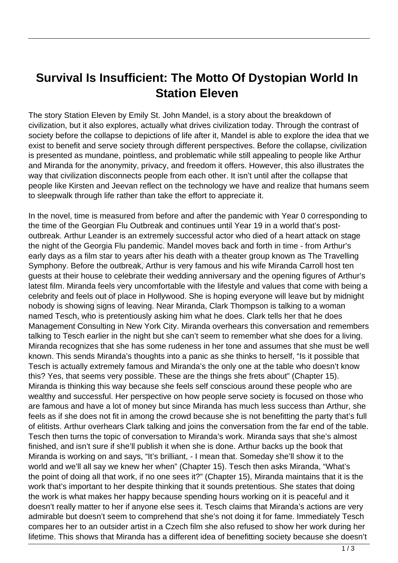## **Survival Is Insufficient: The Motto Of Dystopian World In Station Eleven**

The story Station Eleven by Emily St. John Mandel, is a story about the breakdown of civilization, but it also explores, actually what drives civilization today. Through the contrast of society before the collapse to depictions of life after it, Mandel is able to explore the idea that we exist to benefit and serve society through different perspectives. Before the collapse, civilization is presented as mundane, pointless, and problematic while still appealing to people like Arthur and Miranda for the anonymity, privacy, and freedom it offers. However, this also illustrates the way that civilization disconnects people from each other. It isn't until after the collapse that people like Kirsten and Jeevan reflect on the technology we have and realize that humans seem to sleepwalk through life rather than take the effort to appreciate it.

In the novel, time is measured from before and after the pandemic with Year 0 corresponding to the time of the Georgian Flu Outbreak and continues until Year 19 in a world that's postoutbreak. Arthur Leander is an extremely successful actor who died of a heart attack on stage the night of the Georgia Flu pandemic. Mandel moves back and forth in time - from Arthur's early days as a film star to years after his death with a theater group known as The Travelling Symphony. Before the outbreak, Arthur is very famous and his wife Miranda Carroll host ten guests at their house to celebrate their wedding anniversary and the opening figures of Arthur's latest film. Miranda feels very uncomfortable with the lifestyle and values that come with being a celebrity and feels out of place in Hollywood. She is hoping everyone will leave but by midnight nobody is showing signs of leaving. Near Miranda, Clark Thompson is talking to a woman named Tesch, who is pretentiously asking him what he does. Clark tells her that he does Management Consulting in New York City. Miranda overhears this conversation and remembers talking to Tesch earlier in the night but she can't seem to remember what she does for a living. Miranda recognizes that she has some rudeness in her tone and assumes that she must be well known. This sends Miranda's thoughts into a panic as she thinks to herself, "Is it possible that Tesch is actually extremely famous and Miranda's the only one at the table who doesn't know this? Yes, that seems very possible. These are the things she frets about" (Chapter 15). Miranda is thinking this way because she feels self conscious around these people who are wealthy and successful. Her perspective on how people serve society is focused on those who are famous and have a lot of money but since Miranda has much less success than Arthur, she feels as if she does not fit in among the crowd because she is not benefitting the party that's full of elitists. Arthur overhears Clark talking and joins the conversation from the far end of the table. Tesch then turns the topic of conversation to Miranda's work. Miranda says that she's almost finished, and isn't sure if she'll publish it when she is done. Arthur backs up the book that Miranda is working on and says, "It's brilliant, - I mean that. Someday she'll show it to the world and we'll all say we knew her when" (Chapter 15). Tesch then asks Miranda, "What's the point of doing all that work, if no one sees it?" (Chapter 15), Miranda maintains that it is the work that's important to her despite thinking that it sounds pretentious. She states that doing the work is what makes her happy because spending hours working on it is peaceful and it doesn't really matter to her if anyone else sees it. Tesch claims that Miranda's actions are very admirable but doesn't seem to comprehend that she's not doing it for fame. Immediately Tesch compares her to an outsider artist in a Czech film she also refused to show her work during her lifetime. This shows that Miranda has a different idea of benefitting society because she doesn't the Georgian Flu Outbreak and c<br>Arthur Leander is an extremely su<br>f the Georgia Flu pandemic. Mand<br>as a film star to years after his de<br>r. Before the outbreak, Arthur is ve<br>heir house to celebrate their wedc<br>Miranda feels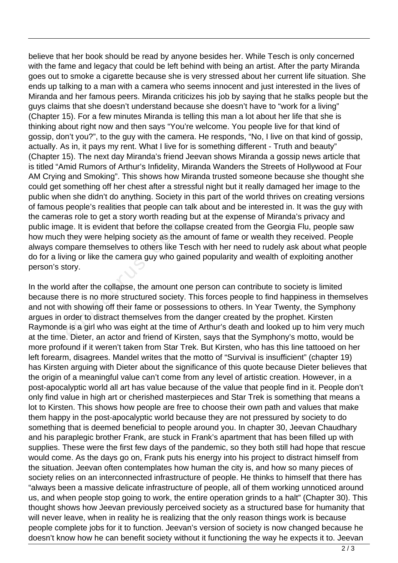believe that her book should be read by anyone besides her. While Tesch is only concerned with the fame and legacy that could be left behind with being an artist. After the party Miranda goes out to smoke a cigarette because she is very stressed about her current life situation. She ends up talking to a man with a camera who seems innocent and just interested in the lives of Miranda and her famous peers. Miranda criticizes his job by saying that he stalks people but the guys claims that she doesn't understand because she doesn't have to "work for a living" (Chapter 15). For a few minutes Miranda is telling this man a lot about her life that she is thinking about right now and then says "You're welcome. You people live for that kind of gossip, don't you?", to the guy with the camera. He responds, "No, I live on that kind of gossip, actually. As in, it pays my rent. What I live for is something different - Truth and beauty" (Chapter 15). The next day Miranda's friend Jeevan shows Miranda a gossip news article that is titled "Amid Rumors of Arthur's Infidelity, Miranda Wanders the Streets of Hollywood at Four AM Crying and Smoking". This shows how Miranda trusted someone because she thought she could get something off her chest after a stressful night but it really damaged her image to the public when she didn't do anything. Society in this part of the world thrives on creating versions of famous people's realities that people can talk about and be interested in. It was the guy with the cameras role to get a story worth reading but at the expense of Miranda's privacy and public image. It is evident that before the collapse created from the Georgia Flu, people saw how much they were helping society as the amount of fame or wealth they received. People always compare themselves to others like Tesch with her need to rudely ask about what people do for a living or like the camera guy who gained popularity and wealth of exploiting another person's story.

In the world after the collapse, the amount one person can contribute to society is limited because there is no more structured society. This forces people to find happiness in themselves and not with showing off their fame or possessions to others. In Year Twenty, the Symphony argues in order to distract themselves from the danger created by the prophet. Kirsten Raymonde is a girl who was eight at the time of Arthur's death and looked up to him very much at the time. Dieter, an actor and friend of Kirsten, says that the Symphony's motto, would be more profound if it weren't taken from Star Trek. But Kirsten, who has this line tattooed on her left forearm, disagrees. Mandel writes that the motto of "Survival is insufficient" (chapter 19) has Kirsten arguing with Dieter about the significance of this quote because Dieter believes that the origin of a meaningful value can't come from any level of artistic creation. However, in a post-apocalyptic world all art has value because of the value that people find in it. People don't only find value in high art or cherished masterpieces and Star Trek is something that means a lot to Kirsten. This shows how people are free to choose their own path and values that make them happy in the post-apocalyptic world because they are not pressured by society to do something that is deemed beneficial to people around you. In chapter 30, Jeevan Chaudhary and his paraplegic brother Frank, are stuck in Frank's apartment that has been filled up with supplies. These were the first few days of the pandemic, so they both still had hope that rescue would come. As the days go on, Frank puts his energy into his project to distract himself from the situation. Jeevan often contemplates how human the city is, and how so many pieces of society relies on an interconnected infrastructure of people. He thinks to himself that there has "always been a massive delicate infrastructure of people, all of them working unnoticed around us, and when people stop going to work, the entire operation grinds to a halt" (Chapter 30). This thought shows how Jeevan previously perceived society as a structured base for humanity that will never leave, when in reality he is realizing that the only reason things work is because people complete jobs for it to function. Jeevan's version of society is now changed because he doesn't know how he can benefit society without it functioning the way he expects it to. Jeevan ge. It is evident that before the col<br>they were helping society as the a<br>mpare themselves to others like T<sub>1</sub><br>ing or like the camera guy who ga<br>tory.<br>d after the collapse, the amount o<br>nere is no more structured society<br>th